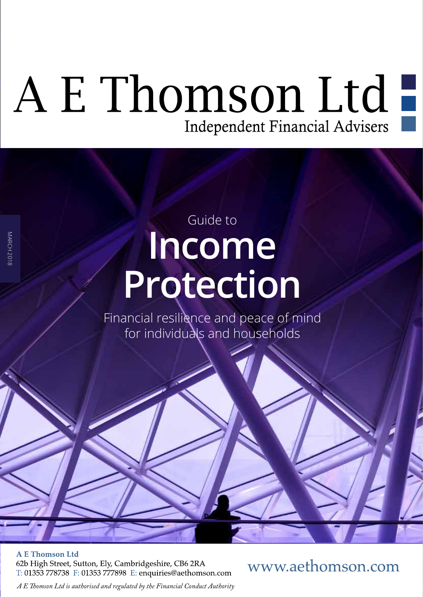# A E Thomson Ltd

## **Income Protection**  Guide to

Financial resilience and peace of mind for individuals and households

**A E Thomson Ltd** 

MARCH 2018

**MARCH 2018** 

62b High Street, Sutton, Ely, Cambridgeshire, CB6 2RA T: 01353 778738 F: 01353 777898 E: enquiries@aethomson.com www.aethomson.com

*A E Tomson Ltd is authorised and regulated by the Financial Conduct Authority*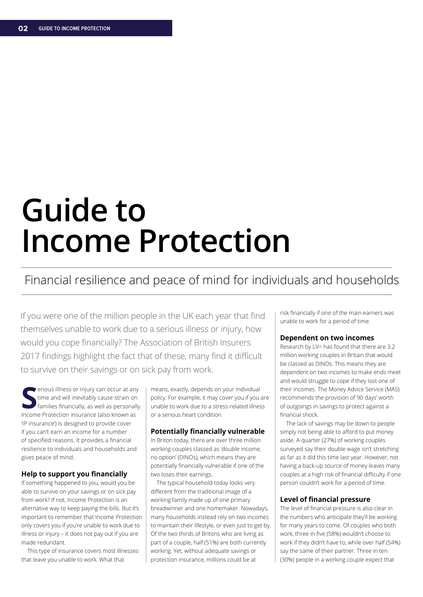## **Guide to Income Protection**

#### Financial resilience and peace of mind for individuals and households

If you were one of the million people in the UK each year that find themselves unable to work due to a serious illness or injury, how would you cope fnancially? The Association of British Insurers 2017 findings highlight the fact that of these, many find it difficult to survive on their savings or on sick pay from work.

**S** Income Protection insurance (also known as erious illness or injury can occur at any time and will inevitably cause strain on families fnancially, as well as personally. 'IP insurance') is designed to provide cover if you can't earn an income for a number of specifed reasons. It provides a fnancial resilience to individuals and households and gives peace of mind.

#### **Help to support you financially**

If something happened to you, would you be able to survive on your savings or on sick pay from work? If not, Income Protection is an alternative way to keep paying the bills. But it's important to remember that Income Protection only covers you if you're unable to work due to illness or injury – it does not pay out if you are made redundant.

This type of insurance covers most illnesses that leave you unable to work. What that

means, exactly, depends on your individual policy. For example, it may cover you if you are unable to work due to a stress-related illness or a serious heart condition.

#### **Potentially financially vulnerable**

In Briton today, there are over three million working couples classed as 'double income, no option' (DINOs), which means they are potentially fnancially vulnerable if one of the two loses their earnings.

The typical household today looks very diferent from the traditional image of a working family made up of one primary breadwinner and one homemaker. Nowadays, many households instead rely on two incomes to maintain their lifestyle, or even just to get by. Of the two thirds of Britons who are living as part of a couple, half (51%) are both currently working. Yet, without adequate savings or protection insurance, millions could be at

risk fnancially if one of the main earners was unable to work for a period of time.

#### **Dependent on two incomes**

Research by LV= has found that there are 3.2 million working couples in Britain that would be classed as DINOs. This means they are dependent on two incomes to make ends meet and would struggle to cope if they lost one of their incomes. The Money Advice Service (MAS) recommends the provision of 90 days' worth of outgoings in savings to protect against a financial shock.

The lack of savings may be down to people simply not being able to afford to put money aside. A quarter (27%) of working couples surveyed say their double wage isn't stretching as far as it did this time last year. However, not having a back-up source of money leaves many couples at a high risk of financial difficulty if one person couldn't work for a period of time.

#### **Level of fnancial pressure**

The level of fnancial pressure is also clear in the numbers who anticipate they'll be working for many years to come. Of couples who both work, three in fve (58%) wouldn't choose to work if they didn't have to, while over half (54%) say the same of their partner. Three in ten (30%) people in a working couple expect that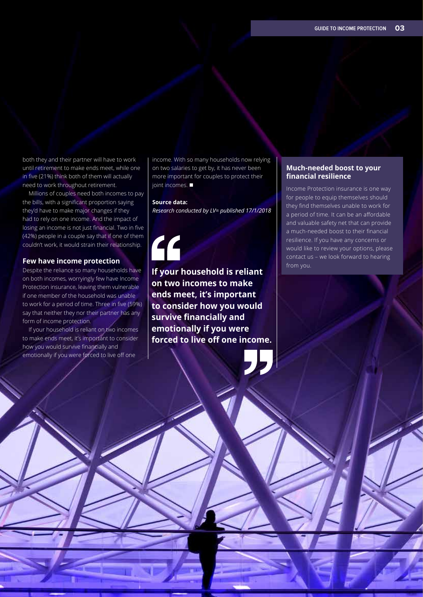both they and their partner will have to work until retirement to make ends meet, while one in five (21%) think both of them will actually need to work throughout retirement.

Millions of couples need both incomes to pay the bills, with a significant proportion saying they'd have to make major changes if they had to rely on one income. And the impact of losing an income is not just financial. Two in five (42%) people in a couple say that if one of them couldn't work, it would strain their relationship.

#### **Few have income protection**

Despite the reliance so many households have on both incomes, worryingly few have Income Protection insurance, leaving them vulnerable if one member of the household was unable to work for a period of time. Three in five (59%) say that neither they nor their partner has any form of income protection.

If your household is reliant on two incomes to make ends meet, it's important to consider how you would survive fnancially and emotionally if you were forced to live off one

income. With so many households now relying on two salaries to get by, it has never been more important for couples to protect their joint incomes.  $\blacksquare$ 

#### **Source data:**

*Research conducted by LV= published 17/1/2018*

**If your household is reliant on two incomes to make ends meet, it's important to consider how you would survive financially and emotionally if you were forced to live off one income.** 

#### **Much-needed boost to your fnancial resilience**

Income Protection insurance is one way for people to equip themselves should they fnd themselves unable to work for a period of time. It can be an affordable and valuable safety net that can provide a much-needed boost to their fnancial resilience. If you have any concerns or would like to review your options, please contact us – we look forward to hearing from you.